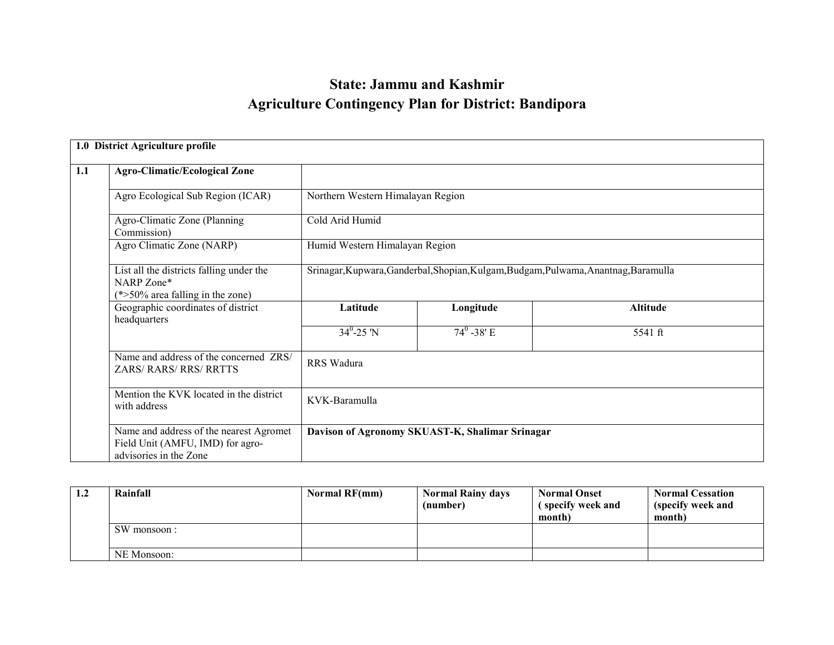# State: Jammu and KashmirAgriculture Contingency Plan for District: Bandipora

|     | 1.0 District Agriculture profile                                                                      |                                   |                                                                                     |                 |  |  |  |  |
|-----|-------------------------------------------------------------------------------------------------------|-----------------------------------|-------------------------------------------------------------------------------------|-----------------|--|--|--|--|
| 1.1 | <b>Agro-Climatic/Ecological Zone</b>                                                                  |                                   |                                                                                     |                 |  |  |  |  |
|     | Agro Ecological Sub Region (ICAR)                                                                     | Northern Western Himalayan Region |                                                                                     |                 |  |  |  |  |
|     | Agro-Climatic Zone (Planning<br>Commission)                                                           | Cold Arid Humid                   |                                                                                     |                 |  |  |  |  |
|     | Agro Climatic Zone (NARP)                                                                             |                                   | Humid Western Himalayan Region                                                      |                 |  |  |  |  |
|     | List all the districts falling under the<br>NARP Zone*<br>$(*>50\%$ area falling in the zone)         |                                   | Srinagar, Kupwara, Ganderbal, Shopian, Kulgam, Budgam, Pulwama, Anantnag, Baramulla |                 |  |  |  |  |
|     | Geographic coordinates of district<br>headquarters                                                    | Latitude                          | Longitude                                                                           | <b>Altitude</b> |  |  |  |  |
|     |                                                                                                       | $34^0 - 25 \text{ N}$             | $74^{\circ}$ -38' E                                                                 | 5541 ft         |  |  |  |  |
|     | Name and address of the concerned ZRS/<br><b>ZARS/ RARS/ RRS/ RRTTS</b>                               | RRS Wadura                        |                                                                                     |                 |  |  |  |  |
|     | Mention the KVK located in the district<br>with address                                               | KVK-Baramulla                     |                                                                                     |                 |  |  |  |  |
|     | Name and address of the nearest Agromet<br>Field Unit (AMFU, IMD) for agro-<br>advisories in the Zone |                                   | Davison of Agronomy SKUAST-K, Shalimar Srinagar                                     |                 |  |  |  |  |

| 1.2 | Rainfall    | Normal RF(mm) | <b>Normal Rainy days</b> | <b>Normal Onset</b> | <b>Normal Cessation</b> |
|-----|-------------|---------------|--------------------------|---------------------|-------------------------|
|     |             |               | (number)                 | specify week and    | (specify week and       |
|     |             |               |                          | month)              | month)                  |
|     | SW monsoon: |               |                          |                     |                         |
|     |             |               |                          |                     |                         |
|     | NE Monsoon: |               |                          |                     |                         |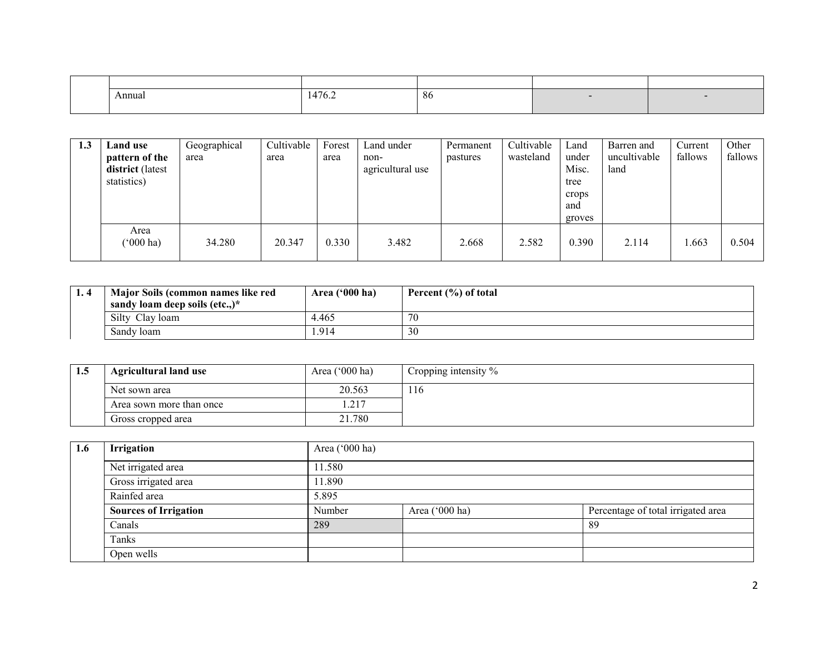| Annual | $\overline{A}$<br>14/6.2 | -86 |  |
|--------|--------------------------|-----|--|
|        |                          |     |  |

| 1.3 | Land use<br>pattern of the<br>district (latest<br>statistics) | Geographical<br>area | Cultivable<br>area | Forest<br>area | Land under<br>non-<br>agricultural use | Permanent<br>pastures | Cultivable<br>wasteland | Land<br>under<br>Misc.<br>tree<br>crops<br>and<br>groves | Barren and<br>uncultivable<br>land | Current<br>fallows | Other<br>fallows |
|-----|---------------------------------------------------------------|----------------------|--------------------|----------------|----------------------------------------|-----------------------|-------------------------|----------------------------------------------------------|------------------------------------|--------------------|------------------|
|     | Area<br>$(000 \text{ ha})$                                    | 34.280               | 20.347             | 0.330          | 3.482                                  | 2.668                 | 2.582                   | 0.390                                                    | 2.114                              | .663               | 0.504            |

| Major Soils (common names like red | Area $('000 ha)$ | Percent (%) of total |
|------------------------------------|------------------|----------------------|
| sandy loam deep soils (etc)*       |                  |                      |
| Silty<br>Clay loam                 | 4.465            | 70                   |
| Sandy loam                         | . 914            | 30                   |

| 1.5 | <b>Agricultural land use</b> | Area $('000 ha)$ | Cropping intensity % |
|-----|------------------------------|------------------|----------------------|
|     | Net sown area                | 20.563           | 116                  |
|     | Area sown more than once     | . .217           |                      |
|     | Gross cropped area           | 21.780           |                      |

| 1.6 | Irrigation                   | Area ('000 ha) |                |                                    |  |  |  |
|-----|------------------------------|----------------|----------------|------------------------------------|--|--|--|
|     | Net irrigated area           | 11.580         |                |                                    |  |  |  |
|     | Gross irrigated area         | 11.890         |                |                                    |  |  |  |
|     | Rainfed area                 | 5.895          |                |                                    |  |  |  |
|     | <b>Sources of Irrigation</b> | Number         | Area ('000 ha) | Percentage of total irrigated area |  |  |  |
|     | Canals                       | 289            |                | 89                                 |  |  |  |
|     | Tanks                        |                |                |                                    |  |  |  |
|     | Open wells                   |                |                |                                    |  |  |  |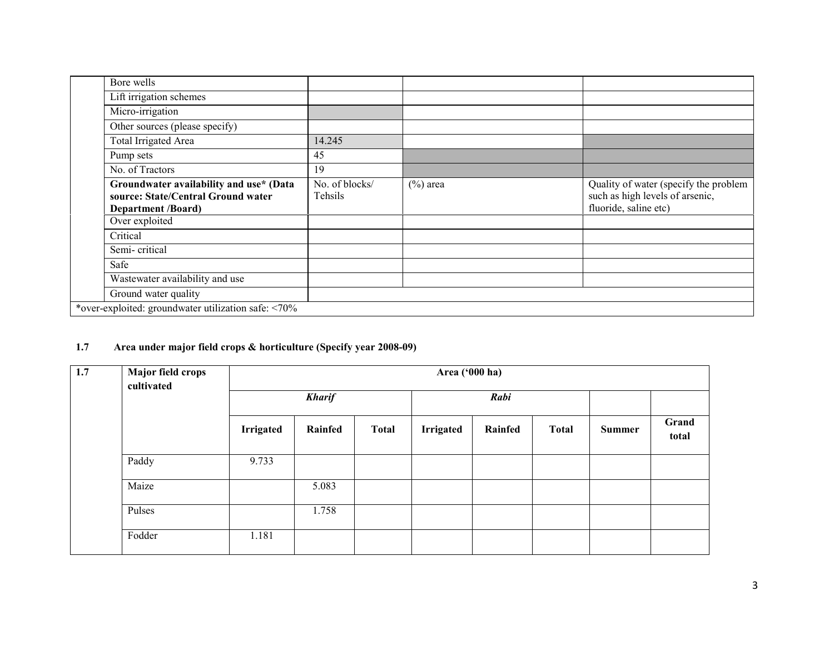| Bore wells                                                                                                 |                           |             |                                                                                                   |
|------------------------------------------------------------------------------------------------------------|---------------------------|-------------|---------------------------------------------------------------------------------------------------|
| Lift irrigation schemes                                                                                    |                           |             |                                                                                                   |
| Micro-irrigation                                                                                           |                           |             |                                                                                                   |
| Other sources (please specify)                                                                             |                           |             |                                                                                                   |
| Total Irrigated Area                                                                                       | 14.245                    |             |                                                                                                   |
| Pump sets                                                                                                  | 45                        |             |                                                                                                   |
| No. of Tractors                                                                                            | 19                        |             |                                                                                                   |
| Groundwater availability and use* (Data<br>source: State/Central Ground water<br><b>Department /Board)</b> | No. of blocks/<br>Tehsils | $(\%)$ area | Quality of water (specify the problem<br>such as high levels of arsenic,<br>fluoride, saline etc) |
| Over exploited                                                                                             |                           |             |                                                                                                   |
| Critical                                                                                                   |                           |             |                                                                                                   |
| Semi-critical                                                                                              |                           |             |                                                                                                   |
| Safe                                                                                                       |                           |             |                                                                                                   |
| Wastewater availability and use                                                                            |                           |             |                                                                                                   |
| Ground water quality                                                                                       |                           |             |                                                                                                   |
| *over-exploited: groundwater utilization safe: <70%                                                        |                           |             |                                                                                                   |

# 1.7 Area under major field crops & horticulture (Specify year 2008-09)

| 1.7 | <b>Major field crops</b><br>cultivated | Area ('000 ha)   |               |              |                  |         |              |               |                |
|-----|----------------------------------------|------------------|---------------|--------------|------------------|---------|--------------|---------------|----------------|
|     |                                        |                  | <b>Kharif</b> |              |                  | Rabi    |              |               |                |
|     |                                        | <b>Irrigated</b> | Rainfed       | <b>Total</b> | <b>Irrigated</b> | Rainfed | <b>Total</b> | <b>Summer</b> | Grand<br>total |
|     | Paddy                                  | 9.733            |               |              |                  |         |              |               |                |
|     | Maize                                  |                  | 5.083         |              |                  |         |              |               |                |
|     | Pulses                                 |                  | 1.758         |              |                  |         |              |               |                |
|     | Fodder                                 | 1.181            |               |              |                  |         |              |               |                |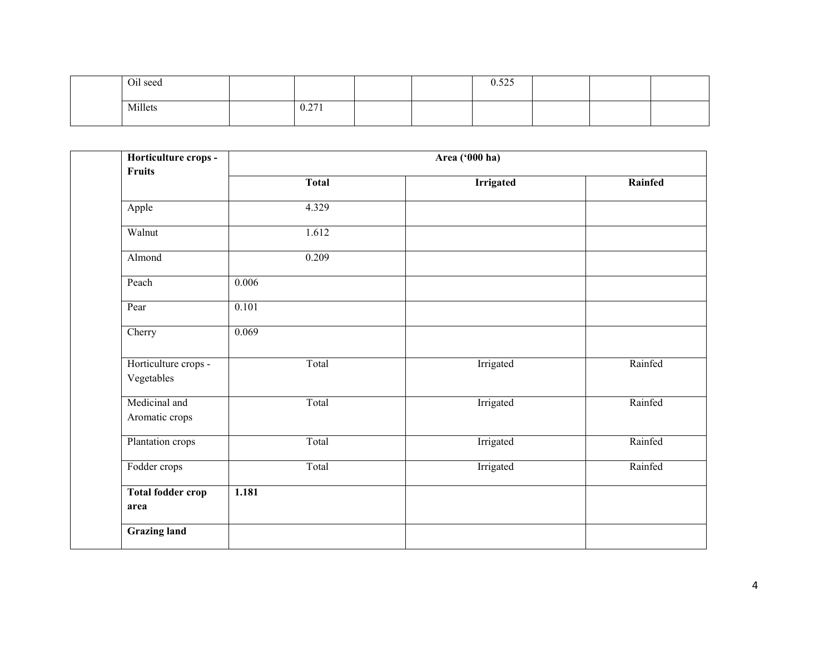| Oil seed |       |  | 0.525 |  |  |
|----------|-------|--|-------|--|--|
| Millets  | 0.271 |  |       |  |  |

| Horticulture crops -<br>Fruits     |              | Area ('000 ha)   |         |
|------------------------------------|--------------|------------------|---------|
|                                    | <b>Total</b> | <b>Irrigated</b> | Rainfed |
| Apple                              | 4.329        |                  |         |
| Walnut                             | 1.612        |                  |         |
| Almond                             | 0.209        |                  |         |
| Peach                              | 0.006        |                  |         |
| Pear                               | 0.101        |                  |         |
| Cherry                             | 0.069        |                  |         |
| Horticulture crops -<br>Vegetables | Total        | Irrigated        | Rainfed |
| Medicinal and<br>Aromatic crops    | Total        | Irrigated        | Rainfed |
| Plantation crops                   | Total        | Irrigated        | Rainfed |
| Fodder crops                       | Total        | Irrigated        | Rainfed |
| <b>Total fodder crop</b><br>area   | 1.181        |                  |         |
| <b>Grazing land</b>                |              |                  |         |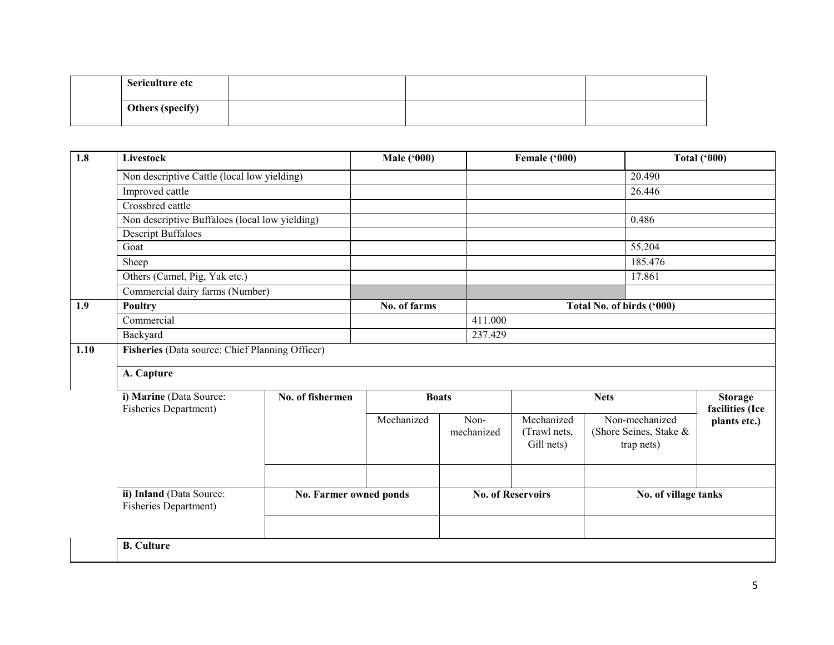| Sericulture etc  |  |  |
|------------------|--|--|
| Others (specify) |  |  |

| 1.8  | Livestock                                         |                               | <b>Male ('000)</b> |  | Female ('000)            |                            | <b>Total ('000)</b> |                                      |                 |
|------|---------------------------------------------------|-------------------------------|--------------------|--|--------------------------|----------------------------|---------------------|--------------------------------------|-----------------|
|      | Non descriptive Cattle (local low yielding)       |                               |                    |  |                          |                            |                     | 20.490                               |                 |
|      | Improved cattle                                   |                               |                    |  |                          |                            |                     | 26.446                               |                 |
|      | Crossbred cattle                                  |                               |                    |  |                          |                            |                     |                                      |                 |
|      | Non descriptive Buffaloes (local low yielding)    |                               |                    |  |                          |                            |                     | 0.486                                |                 |
|      | <b>Descript Buffaloes</b>                         |                               |                    |  |                          |                            |                     |                                      |                 |
|      | Goat                                              |                               |                    |  |                          |                            |                     | 55.204                               |                 |
|      | Sheep                                             |                               |                    |  |                          |                            |                     | 185.476                              |                 |
|      | Others (Camel, Pig, Yak etc.)                     |                               |                    |  |                          |                            |                     | 17.861                               |                 |
|      | Commercial dairy farms (Number)                   |                               |                    |  |                          |                            |                     |                                      |                 |
| 1.9  | <b>Poultry</b>                                    |                               | No. of farms       |  |                          |                            |                     | Total No. of birds ('000)            |                 |
|      | Commercial                                        |                               |                    |  | 411.000                  |                            |                     |                                      |                 |
|      | Backyard                                          |                               |                    |  | 237.429                  |                            |                     |                                      |                 |
| 1.10 | Fisheries (Data source: Chief Planning Officer)   |                               |                    |  |                          |                            |                     |                                      |                 |
|      |                                                   |                               |                    |  |                          |                            |                     |                                      |                 |
|      | A. Capture                                        |                               |                    |  |                          |                            |                     |                                      |                 |
|      | i) Marine (Data Source:                           | No. of fishermen              | <b>Boats</b>       |  |                          |                            | <b>Nets</b>         |                                      | <b>Storage</b>  |
|      | Fisheries Department)                             |                               |                    |  |                          |                            |                     |                                      | facilities (Ice |
|      |                                                   |                               | Mechanized         |  | Non-                     | Mechanized                 |                     | Non-mechanized                       | plants etc.)    |
|      |                                                   |                               |                    |  | mechanized               | (Trawl nets,<br>Gill nets) |                     | (Shore Seines, Stake &<br>trap nets) |                 |
|      |                                                   |                               |                    |  |                          |                            |                     |                                      |                 |
|      |                                                   |                               |                    |  |                          |                            |                     |                                      |                 |
|      |                                                   |                               |                    |  |                          |                            |                     |                                      |                 |
|      | ii) Inland (Data Source:<br>Fisheries Department) | <b>No. Farmer owned ponds</b> |                    |  | <b>No. of Reservoirs</b> |                            |                     | No. of village tanks                 |                 |
|      |                                                   |                               |                    |  |                          |                            |                     |                                      |                 |
|      | <b>B.</b> Culture                                 |                               |                    |  |                          |                            |                     |                                      |                 |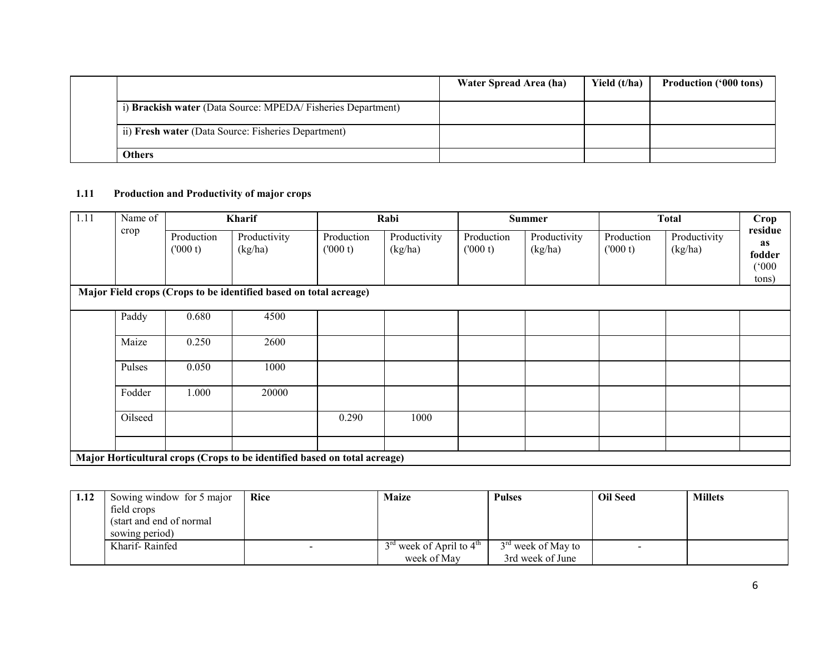|                                                             | Water Spread Area (ha) | Yield (t/ha) | <b>Production ('000 tons)</b> |
|-------------------------------------------------------------|------------------------|--------------|-------------------------------|
| i) Brackish water (Data Source: MPEDA/Fisheries Department) |                        |              |                               |
| ii) Fresh water (Data Source: Fisheries Department)         |                        |              |                               |
| <b>Others</b>                                               |                        |              |                               |

# 1.11 Production and Productivity of major crops

| 1.11 | Name of |                       | Kharif                                                                    |                        | Rabi                    |                       | <b>Summer</b>           |                       | <b>Total</b>            | Crop                                      |
|------|---------|-----------------------|---------------------------------------------------------------------------|------------------------|-------------------------|-----------------------|-------------------------|-----------------------|-------------------------|-------------------------------------------|
|      | crop    | Production<br>(000 t) | Productivity<br>(kg/ha)                                                   | Production<br>(1000 t) | Productivity<br>(kg/ha) | Production<br>(000 t) | Productivity<br>(kg/ha) | Production<br>(000 t) | Productivity<br>(kg/ha) | residue<br>as<br>fodder<br>(000)<br>tons) |
|      |         |                       | Major Field crops (Crops to be identified based on total acreage)         |                        |                         |                       |                         |                       |                         |                                           |
|      | Paddy   | 0.680                 | 4500                                                                      |                        |                         |                       |                         |                       |                         |                                           |
|      | Maize   | 0.250                 | 2600                                                                      |                        |                         |                       |                         |                       |                         |                                           |
|      | Pulses  | 0.050                 | 1000                                                                      |                        |                         |                       |                         |                       |                         |                                           |
|      | Fodder  | 1.000                 | 20000                                                                     |                        |                         |                       |                         |                       |                         |                                           |
|      | Oilseed |                       |                                                                           | 0.290                  | 1000                    |                       |                         |                       |                         |                                           |
|      |         |                       |                                                                           |                        |                         |                       |                         |                       |                         |                                           |
|      |         |                       | Major Horticultural crops (Crops to be identified based on total acreage) |                        |                         |                       |                         |                       |                         |                                           |

| 1.12 | Sowing window for 5 major | Rice | <b>Maize</b>                 | <b>Pulses</b>        | <b>Oil Seed</b>          | <b>Millets</b> |
|------|---------------------------|------|------------------------------|----------------------|--------------------------|----------------|
|      | field crops               |      |                              |                      |                          |                |
|      | (start and end of normal) |      |                              |                      |                          |                |
|      | sowing period)            |      |                              |                      |                          |                |
|      | Kharif-Rainfed            |      | $3rd$ week of April to $4th$ | $3rd$ week of May to | $\overline{\phantom{0}}$ |                |
|      |                           |      | week of May                  | 3rd week of June     |                          |                |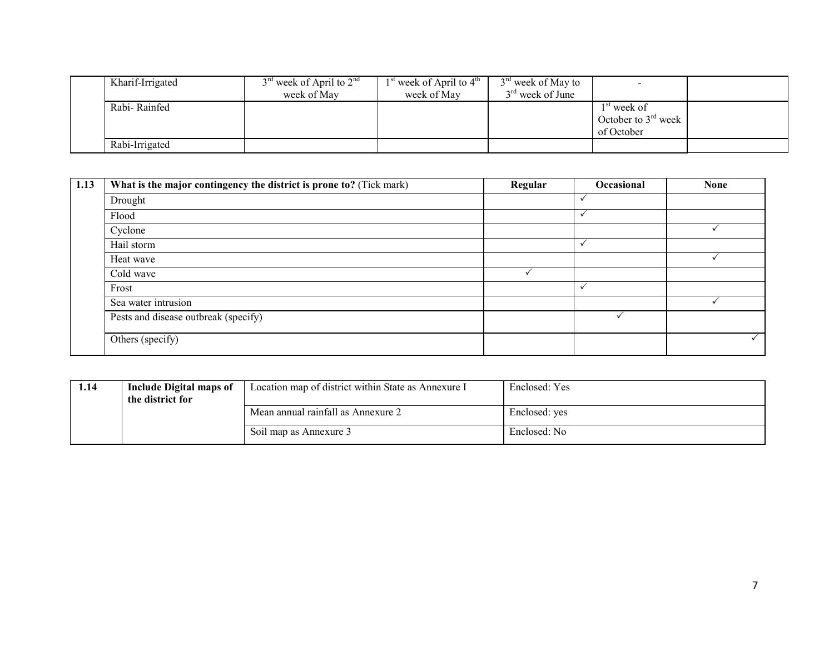| Kharif-Irrigated | $3rd$ week of April to $2nd$ | $1st$ week of April to $4th$ | $3rd$ week of May to | $\overline{\phantom{0}}$ |  |
|------------------|------------------------------|------------------------------|----------------------|--------------------------|--|
|                  | week of May                  | week of May                  | $3rd$ week of June   |                          |  |
| Rabi-Rainfed     |                              |                              |                      | $1st$ week of            |  |
|                  |                              |                              |                      | October to $3rd$ week    |  |
|                  |                              |                              |                      | of October               |  |
| Rabi-Irrigated   |                              |                              |                      |                          |  |

| 1.13 | What is the major contingency the district is prone to? (Tick mark) | Regular | Occasional  | <b>None</b> |
|------|---------------------------------------------------------------------|---------|-------------|-------------|
|      | Drought                                                             |         |             |             |
|      | Flood                                                               |         |             |             |
|      | Cyclone                                                             |         |             |             |
|      | Hail storm                                                          |         | $\check{ }$ |             |
|      | Heat wave                                                           |         |             |             |
|      | Cold wave                                                           |         |             |             |
|      | Frost                                                               |         |             |             |
|      | Sea water intrusion                                                 |         |             |             |
|      | Pests and disease outbreak (specify)                                |         |             |             |
|      | Others (specify)                                                    |         |             |             |

| 1.14 | Include Digital maps of<br>the district for | Location map of district within State as Annexure I | Enclosed: Yes |
|------|---------------------------------------------|-----------------------------------------------------|---------------|
|      |                                             | Mean annual rainfall as Annexure 2                  | Enclosed: yes |
|      |                                             | Soil map as Annexure 3                              | Enclosed: No  |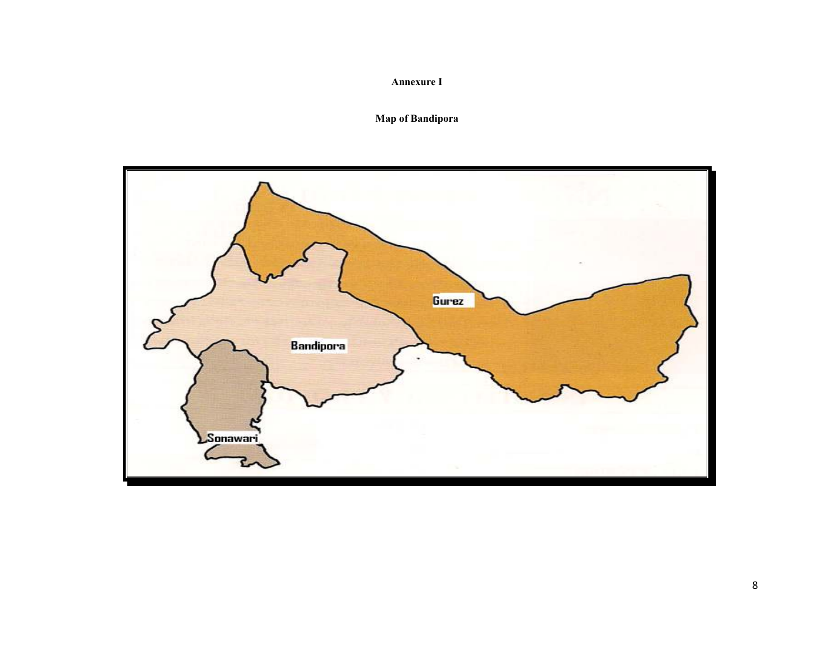# Annexure I

# Map of Bandipora

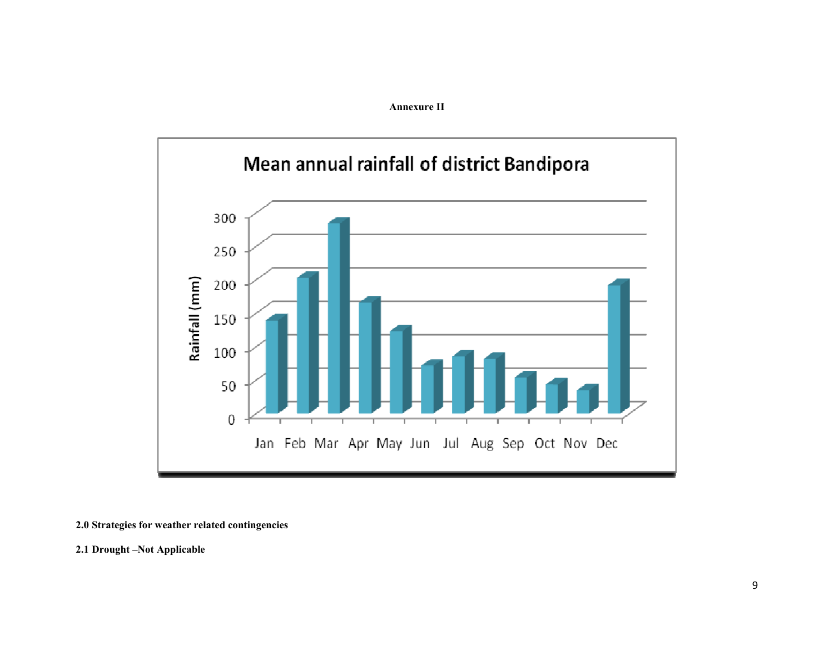



#### 2.0 Strategies for weather related contingencies

2.1 Drought –Not Applicable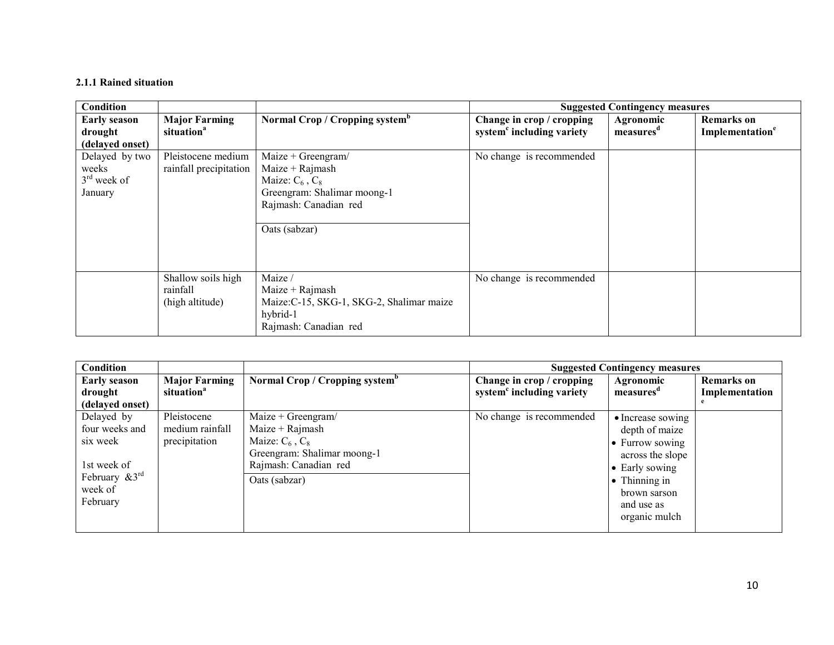#### 2.1.1 Rained situation

| Condition                                           |                                                   |                                                                                                                                        |                                                                    | <b>Suggested Contingency measures</b> |                                                  |
|-----------------------------------------------------|---------------------------------------------------|----------------------------------------------------------------------------------------------------------------------------------------|--------------------------------------------------------------------|---------------------------------------|--------------------------------------------------|
| <b>Early season</b><br>drought<br>(delayed onset)   | <b>Major Farming</b><br>situation <sup>a</sup>    | Normal Crop / Cropping system <sup>b</sup>                                                                                             | Change in crop / cropping<br>system <sup>c</sup> including variety | Agronomic<br>measures <sup>d</sup>    | <b>Remarks</b> on<br>Implementation <sup>e</sup> |
| Delayed by two<br>weeks<br>$3rd$ week of<br>January | Pleistocene medium<br>rainfall precipitation      | Maize + Greengram/<br>Maize + Rajmash<br>Maize: $C_6$ , $C_8$<br>Greengram: Shalimar moong-1<br>Rajmash: Canadian red<br>Oats (sabzar) | No change is recommended                                           |                                       |                                                  |
|                                                     | Shallow soils high<br>rainfall<br>(high altitude) | Maize /<br>Maize + Rajmash<br>Maize: C-15, SKG-1, SKG-2, Shalimar maize<br>hybrid-1<br>Rajmash: Canadian red                           | No change is recommended                                           |                                       |                                                  |

| <b>Condition</b>               |                                                |                                            | <b>Suggested Contingency measures</b>                              |                                    |                              |  |
|--------------------------------|------------------------------------------------|--------------------------------------------|--------------------------------------------------------------------|------------------------------------|------------------------------|--|
| <b>Early season</b><br>drought | <b>Major Farming</b><br>situation <sup>a</sup> | Normal Crop / Cropping system <sup>b</sup> | Change in crop / cropping<br>system <sup>c</sup> including variety | Agronomic<br>measures <sup>a</sup> | Remarks on<br>Implementation |  |
| (delayed onset)                |                                                |                                            |                                                                    |                                    |                              |  |
| Delayed by                     | Pleistocene                                    | Maize + Greengram/                         | No change is recommended                                           | • Increase sowing                  |                              |  |
| four weeks and                 | medium rainfall                                | Maize $+$ Rajmash                          |                                                                    | depth of maize                     |                              |  |
| six week                       | precipitation                                  | Maize: $C_6$ , $C_8$                       |                                                                    | $\bullet$ Furrow sowing            |                              |  |
|                                |                                                | Greengram: Shalimar moong-1                |                                                                    | across the slope                   |                              |  |
| 1st week of                    |                                                | Rajmash: Canadian red                      |                                                                    | • Early sowing                     |                              |  |
| February $\&3^{rd}$            |                                                | Oats (sabzar)                              |                                                                    | $\bullet$ Thinning in              |                              |  |
| week of                        |                                                |                                            |                                                                    | brown sarson                       |                              |  |
| February                       |                                                |                                            |                                                                    | and use as                         |                              |  |
|                                |                                                |                                            |                                                                    | organic mulch                      |                              |  |
|                                |                                                |                                            |                                                                    |                                    |                              |  |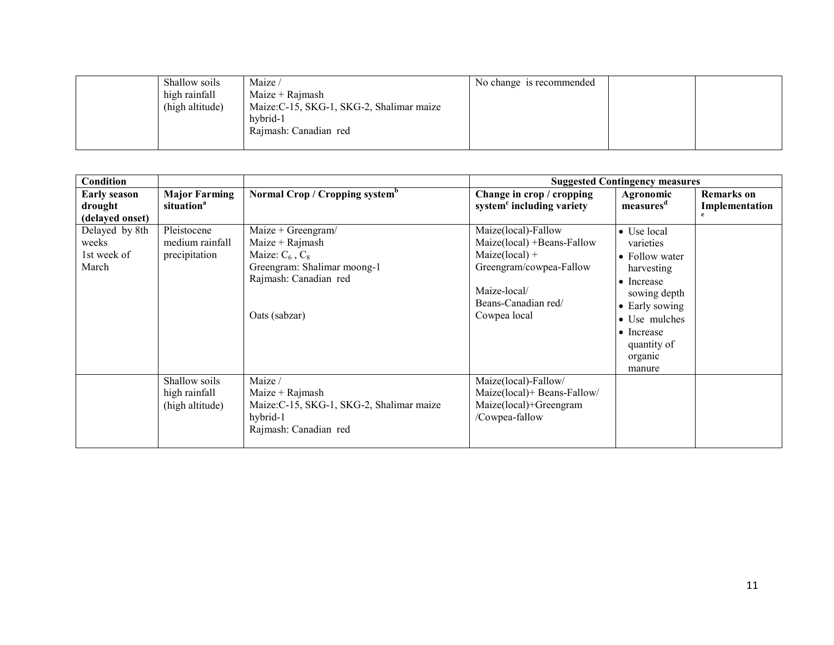| Shallow soils<br>high rainfall<br>(high altitude) | Maize /<br>Maize + Rajmash<br>Maize: C-15, SKG-1, SKG-2, Shalimar maize<br>hybrid-1<br>Rajmash: Canadian red | No change is recommended |  |
|---------------------------------------------------|--------------------------------------------------------------------------------------------------------------|--------------------------|--|
|                                                   |                                                                                                              |                          |  |

| <b>Condition</b>                                  |                                                   |                                                                                                                                          |                                                                                                                                                         | <b>Suggested Contingency measures</b>                                                                                                                                               |                                     |
|---------------------------------------------------|---------------------------------------------------|------------------------------------------------------------------------------------------------------------------------------------------|---------------------------------------------------------------------------------------------------------------------------------------------------------|-------------------------------------------------------------------------------------------------------------------------------------------------------------------------------------|-------------------------------------|
| <b>Early season</b><br>drought<br>(delayed onset) | <b>Major Farming</b><br>situation <sup>a</sup>    | Normal Crop / Cropping system <sup>b</sup>                                                                                               | Change in crop / cropping<br>system <sup>c</sup> including variety                                                                                      | Agronomic<br>measures <sup>d</sup>                                                                                                                                                  | <b>Remarks</b> on<br>Implementation |
| Delayed by 8th<br>weeks<br>1st week of<br>March   | Pleistocene<br>medium rainfall<br>precipitation   | Maize + Greengram/<br>$Maize + Rajmask$<br>Maize: $C_6$ , $C_8$<br>Greengram: Shalimar moong-1<br>Rajmash: Canadian red<br>Oats (sabzar) | Maize(local)-Fallow<br>Maize(local) +Beans-Fallow<br>$Maize(local) +$<br>Greengram/cowpea-Fallow<br>Maize-local/<br>Beans-Canadian red/<br>Cowpea local | • Use local<br>varieties<br>• Follow water<br>harvesting<br>$\bullet$ Increase<br>sowing depth<br>• Early sowing<br>• Use mulches<br>• Increase<br>quantity of<br>organic<br>manure |                                     |
|                                                   | Shallow soils<br>high rainfall<br>(high altitude) | Maize /<br>$Maize + Rajmask$<br>Maize: C-15, SKG-1, SKG-2, Shalimar maize<br>hybrid-1<br>Rajmash: Canadian red                           | Maize(local)-Fallow/<br>Maize(local)+ Beans-Fallow/<br>Maize(local)+Greengram<br>/Cowpea-fallow                                                         |                                                                                                                                                                                     |                                     |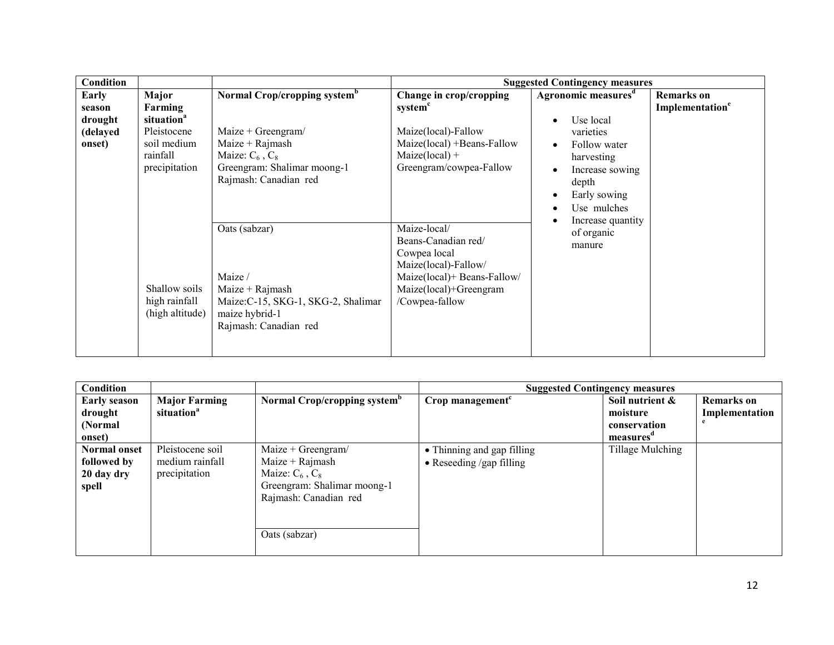| Condition                                        |                                                                                                       |                                                                                                                                                                     |                                                                                                                                                        | <b>Suggested Contingency measures</b>                                                                                                                                   |                                                  |
|--------------------------------------------------|-------------------------------------------------------------------------------------------------------|---------------------------------------------------------------------------------------------------------------------------------------------------------------------|--------------------------------------------------------------------------------------------------------------------------------------------------------|-------------------------------------------------------------------------------------------------------------------------------------------------------------------------|--------------------------------------------------|
| Early<br>season<br>drought<br>(delayed<br>onset) | Major<br>Farming<br>situation <sup>a</sup><br>Pleistocene<br>soil medium<br>rainfall<br>precipitation | Normal Crop/cropping system <sup>b</sup><br>Maize + Greengram/<br>$Maize + Rajmash$<br>Maize: $C_6$ , $C_8$<br>Greengram: Shalimar moong-1<br>Rajmash: Canadian red | Change in crop/cropping<br>system <sup>c</sup><br>Maize(local)-Fallow<br>Maize(local) +Beans-Fallow<br>$Maize(local) +$<br>Greengram/cowpea-Fallow     | Agronomic measures <sup>d</sup><br>Use local<br>varieties<br>Follow water<br>harvesting<br>Increase sowing<br>depth<br>Early sowing<br>Use mulches<br>Increase quantity | <b>Remarks</b> on<br>Implementation <sup>e</sup> |
|                                                  | Shallow soils<br>high rainfall<br>(high altitude)                                                     | Oats (sabzar)<br>Maize /<br>Maize $+$ Rajmash<br>Maize: C-15, SKG-1, SKG-2, Shalimar<br>maize hybrid-1<br>Rajmash: Canadian red                                     | Maize-local/<br>Beans-Canadian red/<br>Cowpea local<br>Maize(local)-Fallow/<br>Maize(local)+ Beans-Fallow/<br>Maize(local)+Greengram<br>/Cowpea-fallow | of organic<br>manure                                                                                                                                                    |                                                  |

| <b>Condition</b>                   |                                     |                                                                              | <b>Suggested Contingency measures</b>                  |                  |                   |
|------------------------------------|-------------------------------------|------------------------------------------------------------------------------|--------------------------------------------------------|------------------|-------------------|
| <b>Early season</b>                | <b>Major Farming</b>                | Normal Crop/cropping system <sup>b</sup>                                     | $Crop$ management <sup><math>c</math></sup>            | Soil nutrient &  | <b>Remarks</b> on |
| drought                            | situation <sup>a</sup>              |                                                                              |                                                        | moisture         | Implementation    |
| (Normal)                           |                                     |                                                                              |                                                        | conservation     |                   |
| onset)                             |                                     |                                                                              |                                                        | measures         |                   |
| <b>Normal onset</b><br>followed by | Pleistocene soil<br>medium rainfall | Maize + Greengram/<br>$Maize + Rajmash$                                      | • Thinning and gap filling<br>• Reseeding /gap filling | Tillage Mulching |                   |
| 20 day dry<br>spell                | precipitation                       | Maize: $C_6$ , $C_8$<br>Greengram: Shalimar moong-1<br>Rajmash: Canadian red |                                                        |                  |                   |
|                                    |                                     | Oats (sabzar)                                                                |                                                        |                  |                   |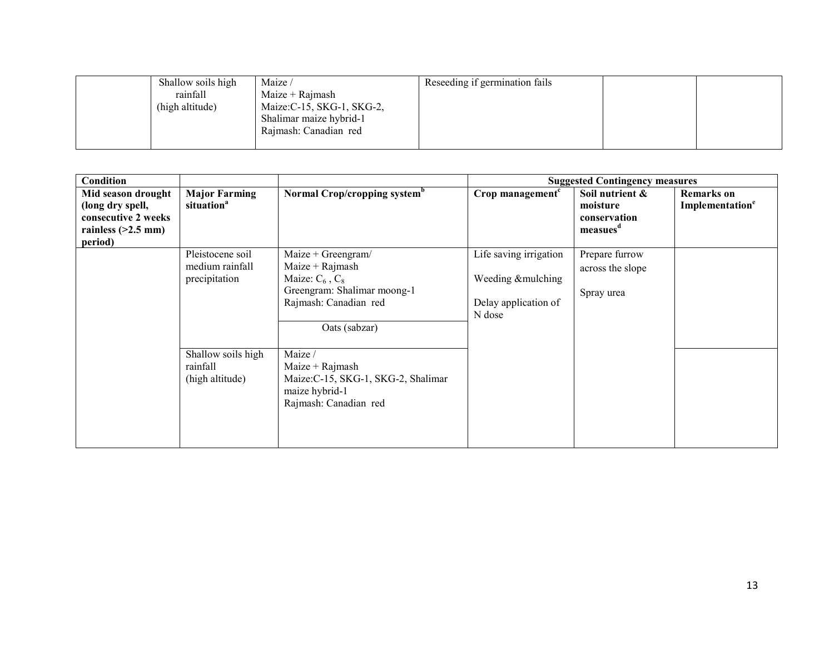| Shallow soils high | Maize /                    | Reseeding if germination fails |  |
|--------------------|----------------------------|--------------------------------|--|
| rainfall           | $Maize + Rajmask$          |                                |  |
| (high altitude)    | Maize: C-15, SKG-1, SKG-2, |                                |  |
|                    | Shalimar maize hybrid-1    |                                |  |
|                    | Rajmash: Canadian red      |                                |  |
|                    |                            |                                |  |

| Condition                                                                                        |                                                                                                           |                                                                                                                                                                                                                                                            |                                                                               | <b>Suggested Contingency measures</b>                               |                                                  |
|--------------------------------------------------------------------------------------------------|-----------------------------------------------------------------------------------------------------------|------------------------------------------------------------------------------------------------------------------------------------------------------------------------------------------------------------------------------------------------------------|-------------------------------------------------------------------------------|---------------------------------------------------------------------|--------------------------------------------------|
| Mid season drought<br>(long dry spell,<br>consecutive 2 weeks<br>rainless $(>2.5$ mm)<br>period) | <b>Major Farming</b><br>situation <sup>a</sup>                                                            | Normal Crop/cropping system <sup>b</sup>                                                                                                                                                                                                                   | Crop management <sup>c</sup>                                                  | Soil nutrient &<br>moisture<br>conservation<br>measues <sup>a</sup> | <b>Remarks</b> on<br>Implementation <sup>e</sup> |
|                                                                                                  | Pleistocene soil<br>medium rainfall<br>precipitation<br>Shallow soils high<br>rainfall<br>(high altitude) | Maize + Greengram/<br>$Maize + Rajmask$<br>Maize: $C_6$ , $C_8$<br>Greengram: Shalimar moong-1<br>Rajmash: Canadian red<br>Oats (sabzar)<br>Maize /<br>$Maize + Rajmask$<br>Maize: C-15, SKG-1, SKG-2, Shalimar<br>maize hybrid-1<br>Rajmash: Canadian red | Life saving irrigation<br>Weeding &mulching<br>Delay application of<br>N dose | Prepare furrow<br>across the slope<br>Spray urea                    |                                                  |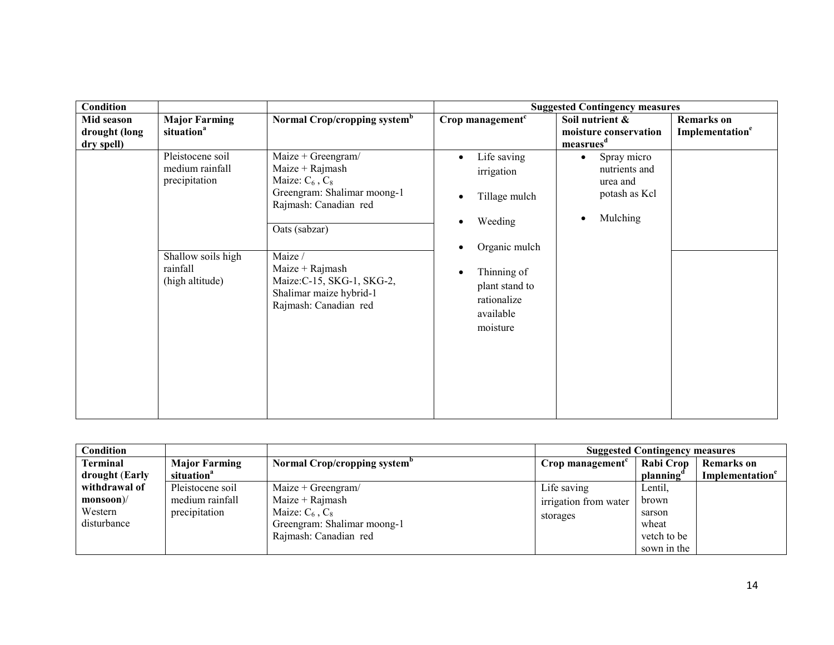| Condition                                 |                                                      |                                                                                                                                        |                                                                                     | <b>Suggested Contingency measures</b>                                              |                                                  |
|-------------------------------------------|------------------------------------------------------|----------------------------------------------------------------------------------------------------------------------------------------|-------------------------------------------------------------------------------------|------------------------------------------------------------------------------------|--------------------------------------------------|
| Mid season<br>drought (long<br>dry spell) | <b>Major Farming</b><br>situation <sup>a</sup>       | Normal Crop/cropping system <sup>b</sup>                                                                                               | Crop management <sup>c</sup>                                                        | Soil nutrient &<br>moisture conservation<br>measrues <sup>d</sup>                  | <b>Remarks</b> on<br>Implementation <sup>e</sup> |
|                                           | Pleistocene soil<br>medium rainfall<br>precipitation | Maize + Greengram/<br>Maize + Rajmash<br>Maize: $C_6$ , $C_8$<br>Greengram: Shalimar moong-1<br>Rajmash: Canadian red<br>Oats (sabzar) | Life saving<br>$\bullet$<br>irrigation<br>Tillage mulch<br>Weeding<br>Organic mulch | Spray micro<br>$\bullet$<br>nutrients and<br>urea and<br>potash as Kcl<br>Mulching |                                                  |
|                                           | Shallow soils high<br>rainfall<br>(high altitude)    | Maize /<br>$Maize + Rajmask$<br>Maize: C-15, SKG-1, SKG-2,<br>Shalimar maize hybrid-1<br>Rajmash: Canadian red                         | Thinning of<br>$\bullet$<br>plant stand to<br>rationalize<br>available<br>moisture  |                                                                                    |                                                  |

| Condition      |                        |                                          |                       | <b>Suggested Contingency measures</b> |                             |
|----------------|------------------------|------------------------------------------|-----------------------|---------------------------------------|-----------------------------|
| Terminal       | <b>Major Farming</b>   | Normal Crop/cropping system <sup>o</sup> | Crop management       | Rabi Crop                             | Remarks on                  |
| drought (Early | situation <sup>a</sup> |                                          |                       | planning                              | Implementation <sup>e</sup> |
| withdrawal of  | Pleistocene soil       | Maize + Greengram/                       | Life saving           | Lentil,                               |                             |
| $monsoon$      | medium rainfall        | $Maize + Rajmask$                        | irrigation from water | brown                                 |                             |
| Western        | precipitation          | Maize: $C_6$ , $C_8$                     | storages              | sarson                                |                             |
| disturbance    |                        | Greengram: Shalimar moong-1              |                       | wheat                                 |                             |
|                |                        | Rajmash: Canadian red                    |                       | vetch to be                           |                             |
|                |                        |                                          |                       | sown in the                           |                             |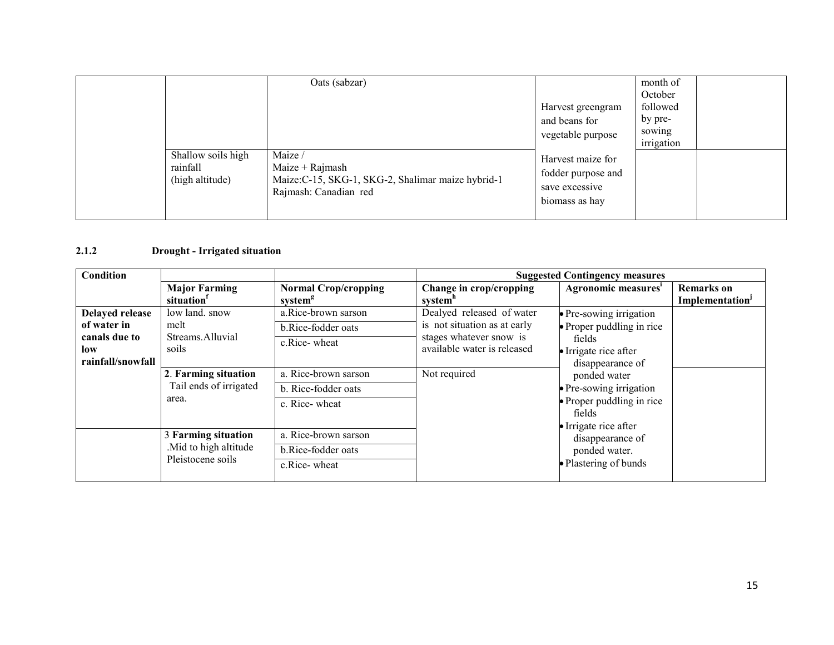|                                                   | Oats (sabzar)                                                                                               | Harvest greengram<br>and beans for<br>vegetable purpose                     | month of<br>October<br>followed<br>by pre-<br>sowing<br>irrigation |  |
|---------------------------------------------------|-------------------------------------------------------------------------------------------------------------|-----------------------------------------------------------------------------|--------------------------------------------------------------------|--|
| Shallow soils high<br>rainfall<br>(high altitude) | Maize /<br>$Maize + Rajmask$<br>Maize: C-15, SKG-1, SKG-2, Shalimar maize hybrid-1<br>Rajmash: Canadian red | Harvest maize for<br>fodder purpose and<br>save excessive<br>biomass as hay |                                                                    |  |

# 2.1.2 Drought - Irrigated situation

| Condition                                 |                                                |                                                    |                                                        | <b>Suggested Contingency measures</b>                               |                                                         |  |
|-------------------------------------------|------------------------------------------------|----------------------------------------------------|--------------------------------------------------------|---------------------------------------------------------------------|---------------------------------------------------------|--|
|                                           | <b>Major Farming</b><br>situation <sup>1</sup> | <b>Normal Crop/cropping</b><br>system <sup>g</sup> | Change in crop/cropping<br>system"                     | Agronomic measures'                                                 | <b>Remarks</b> on<br><b>Implementation</b> <sup>J</sup> |  |
| <b>Delayed release</b>                    | low land. snow                                 | a.Rice-brown sarson                                | Dealyed released of water                              | · Pre-sowing irrigation                                             |                                                         |  |
| of water in                               | melt                                           | b.Rice-fodder oats                                 | is not situation as at early                           | • Proper puddling in rice                                           |                                                         |  |
| canals due to<br>low<br>rainfall/snowfall | Streams.Alluvial<br>soils                      | c.Rice-wheat                                       | stages whatever snow is<br>available water is released | fields<br>• Irrigate rice after<br>disappearance of<br>ponded water |                                                         |  |
|                                           | 2. Farming situation                           | a. Rice-brown sarson                               | Not required                                           |                                                                     |                                                         |  |
|                                           | Tail ends of irrigated                         | b. Rice-fodder oats                                |                                                        | · Pre-sowing irrigation                                             |                                                         |  |
|                                           | area.                                          | c. Rice-wheat                                      |                                                        | • Proper puddling in rice<br>fields<br>• Irrigate rice after        |                                                         |  |
|                                           | 3 Farming situation                            | a. Rice-brown sarson                               |                                                        | disappearance of                                                    |                                                         |  |
|                                           | . Mid to high altitude                         | b.Rice-fodder oats                                 |                                                        | ponded water.                                                       |                                                         |  |
|                                           | Pleistocene soils                              | c.Rice-wheat                                       |                                                        | • Plastering of bunds                                               |                                                         |  |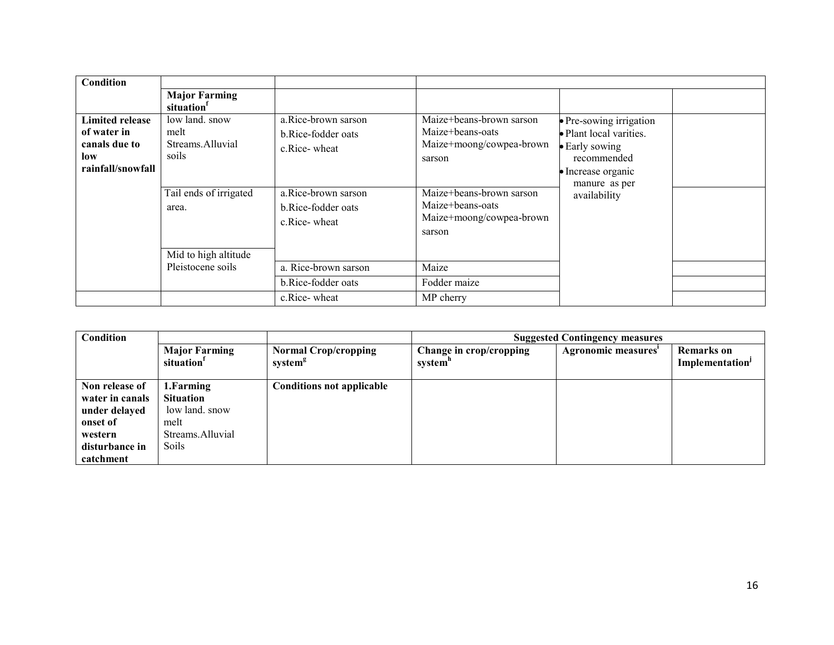| Condition                                                                          |                                                                                                                |                                                                                                                        |                                                                                                                                                                          |                                                                                                                                                    |  |
|------------------------------------------------------------------------------------|----------------------------------------------------------------------------------------------------------------|------------------------------------------------------------------------------------------------------------------------|--------------------------------------------------------------------------------------------------------------------------------------------------------------------------|----------------------------------------------------------------------------------------------------------------------------------------------------|--|
|                                                                                    | <b>Major Farming</b><br>situation                                                                              |                                                                                                                        |                                                                                                                                                                          |                                                                                                                                                    |  |
| <b>Limited release</b><br>of water in<br>canals due to<br>low<br>rainfall/snowfall | low land, snow<br>melt<br>Streams Alluvial<br>soils<br>Tail ends of irrigated<br>area.<br>Mid to high altitude | a.Rice-brown sarson<br>b.Rice-fodder oats<br>c.Rice-wheat<br>a.Rice-brown sarson<br>b.Rice-fodder oats<br>c.Rice-wheat | Maize+beans-brown sarson<br>Maize+beans-oats<br>Maize+moong/cowpea-brown<br>sarson<br>Maize+beans-brown sarson<br>Maize+beans-oats<br>Maize+moong/cowpea-brown<br>sarson | · Pre-sowing irrigation<br>• Plant local varities.<br>• Early sowing<br>recommended<br>$\bullet$ Increase organic<br>manure as per<br>availability |  |
|                                                                                    | Pleistocene soils                                                                                              | a. Rice-brown sarson                                                                                                   | Maize                                                                                                                                                                    |                                                                                                                                                    |  |
|                                                                                    |                                                                                                                | b.Rice-fodder oats                                                                                                     | Fodder maize                                                                                                                                                             |                                                                                                                                                    |  |
|                                                                                    |                                                                                                                | c.Rice-wheat                                                                                                           | MP cherry                                                                                                                                                                |                                                                                                                                                    |  |

| Condition       |                                                |                                                    |                                    | <b>Suggested Contingency measures</b> |                                                  |
|-----------------|------------------------------------------------|----------------------------------------------------|------------------------------------|---------------------------------------|--------------------------------------------------|
|                 | <b>Major Farming</b><br>situation <sup>1</sup> | <b>Normal Crop/cropping</b><br>system <sup>g</sup> | Change in crop/cropping<br>system" | Agronomic measures'                   | <b>Remarks</b> on<br>Implementation <sup>J</sup> |
| Non release of  | 1.Farming                                      | <b>Conditions not applicable</b>                   |                                    |                                       |                                                  |
| water in canals | <b>Situation</b>                               |                                                    |                                    |                                       |                                                  |
| under delayed   | low land. snow                                 |                                                    |                                    |                                       |                                                  |
| onset of        | melt                                           |                                                    |                                    |                                       |                                                  |
| western         | Streams.Alluvial                               |                                                    |                                    |                                       |                                                  |
| disturbance in  | Soils                                          |                                                    |                                    |                                       |                                                  |
| catchment       |                                                |                                                    |                                    |                                       |                                                  |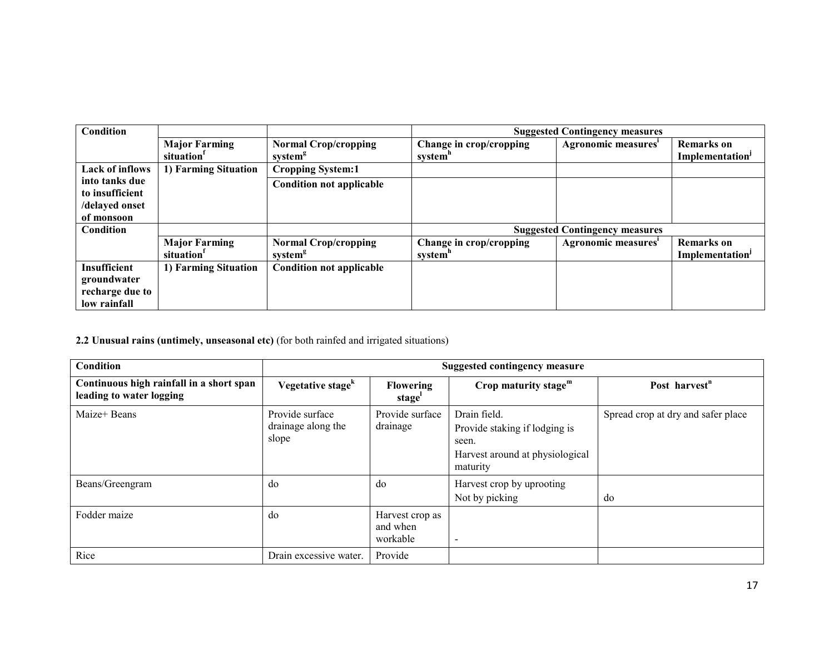| Condition              |                        |                                 |                         | <b>Suggested Contingency measures</b> |                             |
|------------------------|------------------------|---------------------------------|-------------------------|---------------------------------------|-----------------------------|
|                        | <b>Major Farming</b>   | <b>Normal Crop/cropping</b>     | Change in crop/cropping | Agronomic measures'                   | <b>Remarks</b> on           |
|                        | situation <sup>1</sup> | system <sup>g</sup>             | system"                 |                                       | Implementation <sup>J</sup> |
| <b>Lack of inflows</b> | 1) Farming Situation   | <b>Cropping System:1</b>        |                         |                                       |                             |
| into tanks due         |                        | <b>Condition not applicable</b> |                         |                                       |                             |
| to insufficient        |                        |                                 |                         |                                       |                             |
| /delayed onset         |                        |                                 |                         |                                       |                             |
| of monsoon             |                        |                                 |                         |                                       |                             |
| <b>Condition</b>       |                        |                                 |                         | <b>Suggested Contingency measures</b> |                             |
|                        | <b>Major Farming</b>   | <b>Normal Crop/cropping</b>     | Change in crop/cropping | Agronomic measures <sup>1</sup>       | <b>Remarks</b> on           |
|                        | situation <sup>1</sup> | system <sup>g</sup>             | system <sup>"</sup>     |                                       | Implementation <sup>J</sup> |
| <b>Insufficient</b>    | 1) Farming Situation   | <b>Condition not applicable</b> |                         |                                       |                             |
| groundwater            |                        |                                 |                         |                                       |                             |
| recharge due to        |                        |                                 |                         |                                       |                             |
| low rainfall           |                        |                                 |                         |                                       |                             |

# 2.2 Unusual rains (untimely, unseasonal etc) (for both rainfed and irrigated situations)

| Condition                                                            | <b>Suggested contingency measure</b>           |                                         |                                                                                                       |                                    |  |
|----------------------------------------------------------------------|------------------------------------------------|-----------------------------------------|-------------------------------------------------------------------------------------------------------|------------------------------------|--|
| Continuous high rainfall in a short span<br>leading to water logging | Vegetative stage <sup>k</sup>                  | <b>Flowering</b><br>stage'              | Crop maturity stage $m$                                                                               | Post harvest <sup>n</sup>          |  |
| Maize+ Beans                                                         | Provide surface<br>drainage along the<br>slope | Provide surface<br>drainage             | Drain field.<br>Provide staking if lodging is<br>seen.<br>Harvest around at physiological<br>maturity | Spread crop at dry and safer place |  |
| Beans/Greengram                                                      | do                                             | do                                      | Harvest crop by uprooting<br>Not by picking                                                           | do                                 |  |
| Fodder maize                                                         | do                                             | Harvest crop as<br>and when<br>workable | $\overline{\phantom{a}}$                                                                              |                                    |  |
| Rice                                                                 | Drain excessive water.                         | Provide                                 |                                                                                                       |                                    |  |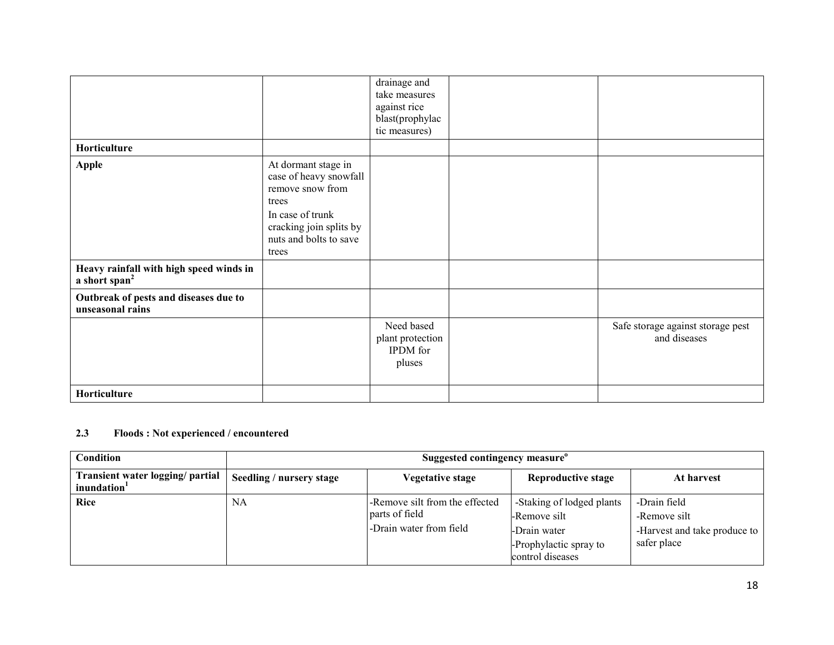|                                                                      |                                                                                                                                                              | drainage and<br>take measures<br>against rice<br>blast(prophylac<br>tic measures) |                                                   |
|----------------------------------------------------------------------|--------------------------------------------------------------------------------------------------------------------------------------------------------------|-----------------------------------------------------------------------------------|---------------------------------------------------|
| Horticulture                                                         |                                                                                                                                                              |                                                                                   |                                                   |
| Apple                                                                | At dormant stage in<br>case of heavy snowfall<br>remove snow from<br>trees<br>In case of trunk<br>cracking join splits by<br>nuts and bolts to save<br>trees |                                                                                   |                                                   |
| Heavy rainfall with high speed winds in<br>a short span <sup>2</sup> |                                                                                                                                                              |                                                                                   |                                                   |
| Outbreak of pests and diseases due to<br>unseasonal rains            |                                                                                                                                                              |                                                                                   |                                                   |
|                                                                      |                                                                                                                                                              | Need based<br>plant protection<br><b>IPDM</b> for<br>pluses                       | Safe storage against storage pest<br>and diseases |
| Horticulture                                                         |                                                                                                                                                              |                                                                                   |                                                   |

# 2.3 Floods : Not experienced / encountered

| Condition                                      | Suggested contingency measure <sup>o</sup> |                                                                             |                                                                                                         |                                                                             |
|------------------------------------------------|--------------------------------------------|-----------------------------------------------------------------------------|---------------------------------------------------------------------------------------------------------|-----------------------------------------------------------------------------|
| Transient water logging/ partial<br>inundation | Seedling / nursery stage                   | Vegetative stage                                                            | <b>Reproductive stage</b>                                                                               | At harvest                                                                  |
| Rice                                           | NA                                         | -Remove silt from the effected<br>parts of field<br>-Drain water from field | -Staking of lodged plants<br>-Remove silt<br>-Drain water<br>-Prophylactic spray to<br>control diseases | -Drain field<br>-Remove silt<br>-Harvest and take produce to<br>safer place |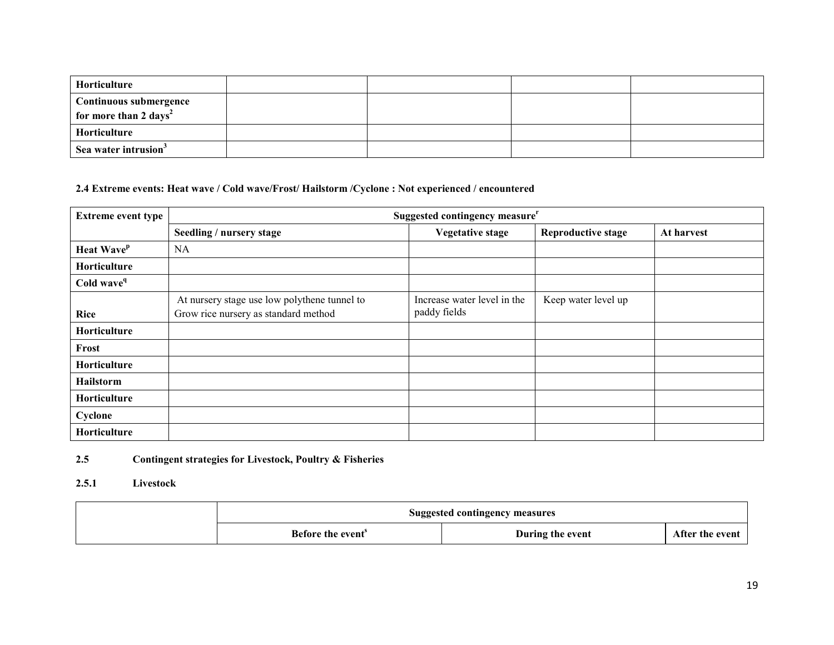| <b>Horticulture</b>                                                |  |  |
|--------------------------------------------------------------------|--|--|
| <b>Continuous submergence</b><br>for more than 2 days <sup>2</sup> |  |  |
| <b>Horticulture</b>                                                |  |  |
| Sea water intrusion <sup>3</sup>                                   |  |  |

# 2.4 Extreme events: Heat wave / Cold wave/Frost/ Hailstorm /Cyclone : Not experienced / encountered

| <b>Extreme event type</b>     | Suggested contingency measure <sup>r</sup>                                           |                                             |                           |            |  |
|-------------------------------|--------------------------------------------------------------------------------------|---------------------------------------------|---------------------------|------------|--|
|                               | Seedling / nursery stage                                                             | <b>Vegetative stage</b>                     | <b>Reproductive stage</b> | At harvest |  |
| <b>Heat Wave</b> <sup>p</sup> | <b>NA</b>                                                                            |                                             |                           |            |  |
| Horticulture                  |                                                                                      |                                             |                           |            |  |
| Cold wave <sup>q</sup>        |                                                                                      |                                             |                           |            |  |
| <b>Rice</b>                   | At nursery stage use low polythene tunnel to<br>Grow rice nursery as standard method | Increase water level in the<br>paddy fields | Keep water level up       |            |  |
| Horticulture                  |                                                                                      |                                             |                           |            |  |
| Frost                         |                                                                                      |                                             |                           |            |  |
| Horticulture                  |                                                                                      |                                             |                           |            |  |
| <b>Hailstorm</b>              |                                                                                      |                                             |                           |            |  |
| Horticulture                  |                                                                                      |                                             |                           |            |  |
| Cyclone                       |                                                                                      |                                             |                           |            |  |
| Horticulture                  |                                                                                      |                                             |                           |            |  |

#### 2.5Contingent strategies for Livestock, Poultry & Fisheries

# 2.5.1 Livestock

| <b>Suggested contingency measures</b> |                  |                 |  |
|---------------------------------------|------------------|-----------------|--|
| Before the event <sup>3</sup>         | During the event | After the event |  |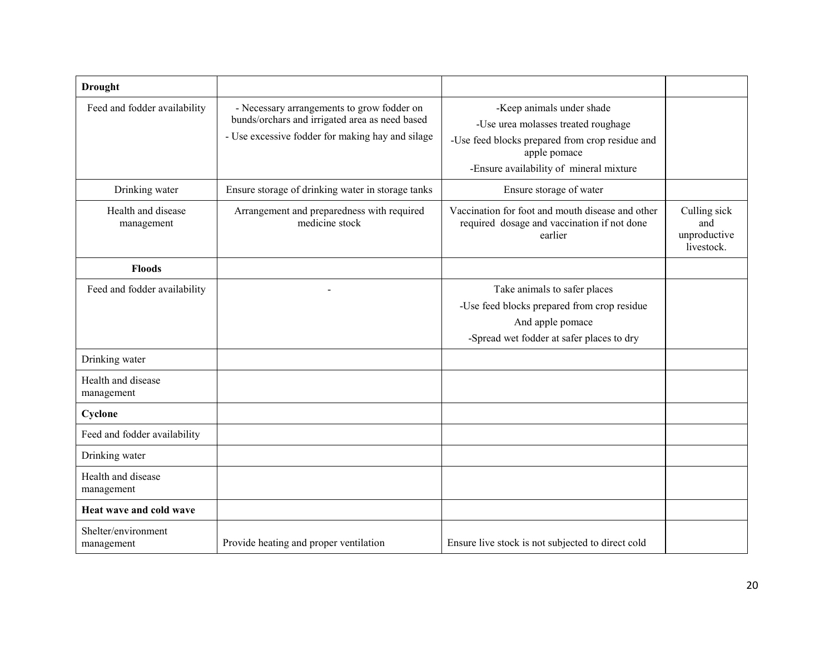| <b>Drought</b>                    |                                                                                                                                                  |                                                                                                                                                                                |                                                   |
|-----------------------------------|--------------------------------------------------------------------------------------------------------------------------------------------------|--------------------------------------------------------------------------------------------------------------------------------------------------------------------------------|---------------------------------------------------|
| Feed and fodder availability      | - Necessary arrangements to grow fodder on<br>bunds/orchars and irrigated area as need based<br>- Use excessive fodder for making hay and silage | -Keep animals under shade<br>-Use urea molasses treated roughage<br>-Use feed blocks prepared from crop residue and<br>apple pomace<br>-Ensure availability of mineral mixture |                                                   |
| Drinking water                    | Ensure storage of drinking water in storage tanks                                                                                                | Ensure storage of water                                                                                                                                                        |                                                   |
| Health and disease<br>management  | Arrangement and preparedness with required<br>medicine stock                                                                                     | Vaccination for foot and mouth disease and other<br>required dosage and vaccination if not done<br>earlier                                                                     | Culling sick<br>and<br>unproductive<br>livestock. |
| <b>Floods</b>                     |                                                                                                                                                  |                                                                                                                                                                                |                                                   |
| Feed and fodder availability      |                                                                                                                                                  | Take animals to safer places<br>-Use feed blocks prepared from crop residue<br>And apple pomace<br>-Spread wet fodder at safer places to dry                                   |                                                   |
| Drinking water                    |                                                                                                                                                  |                                                                                                                                                                                |                                                   |
| Health and disease<br>management  |                                                                                                                                                  |                                                                                                                                                                                |                                                   |
| Cyclone                           |                                                                                                                                                  |                                                                                                                                                                                |                                                   |
| Feed and fodder availability      |                                                                                                                                                  |                                                                                                                                                                                |                                                   |
| Drinking water                    |                                                                                                                                                  |                                                                                                                                                                                |                                                   |
| Health and disease<br>management  |                                                                                                                                                  |                                                                                                                                                                                |                                                   |
| Heat wave and cold wave           |                                                                                                                                                  |                                                                                                                                                                                |                                                   |
| Shelter/environment<br>management | Provide heating and proper ventilation                                                                                                           | Ensure live stock is not subjected to direct cold                                                                                                                              |                                                   |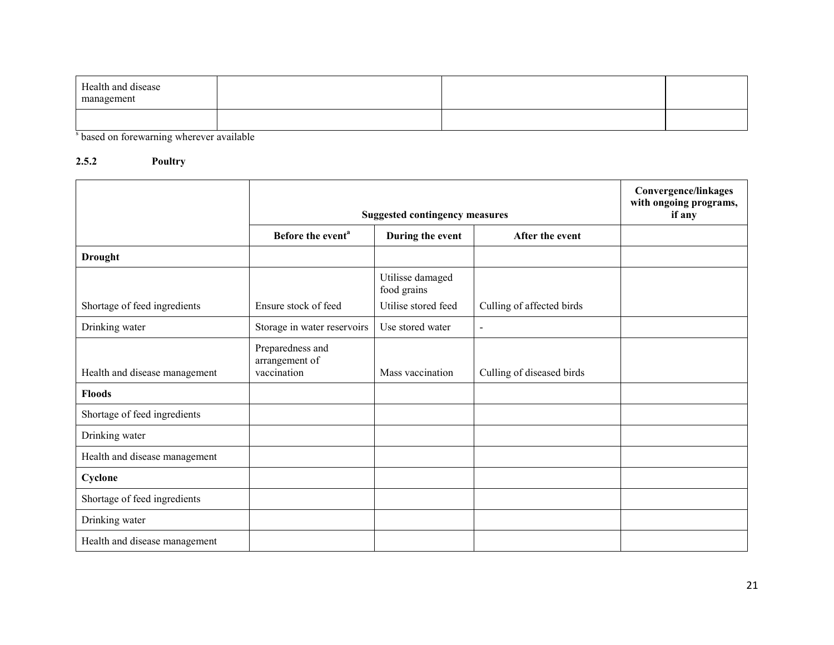| Health and disease<br>management                                                                                                                                                                                                            |   |  |
|---------------------------------------------------------------------------------------------------------------------------------------------------------------------------------------------------------------------------------------------|---|--|
| $\alpha$ . The contract of the contract of the contract of the contract of the contract of the contract of the contract of the contract of the contract of the contract of the contract of the contract of the contract of the co<br>$\sim$ | . |  |

<sup>s</sup> based on forewarning wherever available

# 2.5.2 Poultry

|                               |                                                   | <b>Suggested contingency measures</b> | <b>Convergence/linkages</b><br>with ongoing programs,<br>if any |  |
|-------------------------------|---------------------------------------------------|---------------------------------------|-----------------------------------------------------------------|--|
|                               | Before the event <sup>a</sup>                     | During the event                      | After the event                                                 |  |
| <b>Drought</b>                |                                                   |                                       |                                                                 |  |
|                               |                                                   | Utilisse damaged<br>food grains       |                                                                 |  |
| Shortage of feed ingredients  | Ensure stock of feed                              | Utilise stored feed                   | Culling of affected birds                                       |  |
| Drinking water                | Storage in water reservoirs                       | Use stored water                      | $\blacksquare$                                                  |  |
| Health and disease management | Preparedness and<br>arrangement of<br>vaccination | Mass vaccination                      | Culling of diseased birds                                       |  |
| <b>Floods</b>                 |                                                   |                                       |                                                                 |  |
| Shortage of feed ingredients  |                                                   |                                       |                                                                 |  |
| Drinking water                |                                                   |                                       |                                                                 |  |
| Health and disease management |                                                   |                                       |                                                                 |  |
| Cyclone                       |                                                   |                                       |                                                                 |  |
| Shortage of feed ingredients  |                                                   |                                       |                                                                 |  |
| Drinking water                |                                                   |                                       |                                                                 |  |
| Health and disease management |                                                   |                                       |                                                                 |  |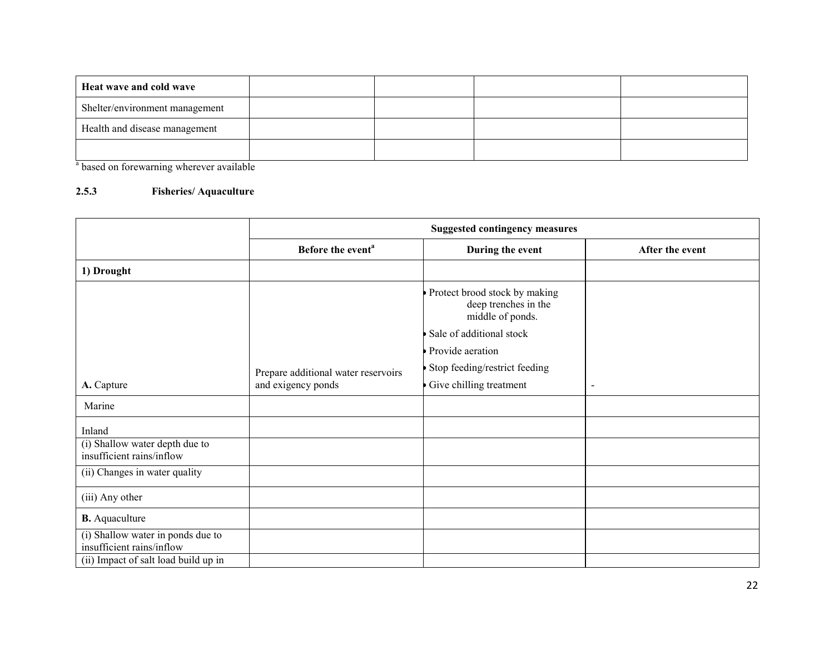| Heat wave and cold wave        |  |  |
|--------------------------------|--|--|
| Shelter/environment management |  |  |
| Health and disease management  |  |  |
|                                |  |  |

<sup>a</sup> based on forewarning wherever available

# 2.5.3 Fisheries/ Aquaculture

|                                                                | <b>Suggested contingency measures</b> |                                                                           |                 |  |
|----------------------------------------------------------------|---------------------------------------|---------------------------------------------------------------------------|-----------------|--|
|                                                                | Before the event <sup>a</sup>         | During the event                                                          | After the event |  |
| 1) Drought                                                     |                                       |                                                                           |                 |  |
|                                                                |                                       | Protect brood stock by making<br>deep trenches in the<br>middle of ponds. |                 |  |
|                                                                |                                       | Sale of additional stock                                                  |                 |  |
|                                                                |                                       | Provide aeration                                                          |                 |  |
|                                                                | Prepare additional water reservoirs   | Stop feeding/restrict feeding                                             |                 |  |
| A. Capture                                                     | and exigency ponds                    | Give chilling treatment                                                   | $\blacksquare$  |  |
| Marine                                                         |                                       |                                                                           |                 |  |
| Inland                                                         |                                       |                                                                           |                 |  |
| (i) Shallow water depth due to<br>insufficient rains/inflow    |                                       |                                                                           |                 |  |
| (ii) Changes in water quality                                  |                                       |                                                                           |                 |  |
| (iii) Any other                                                |                                       |                                                                           |                 |  |
| <b>B.</b> Aquaculture                                          |                                       |                                                                           |                 |  |
| (i) Shallow water in ponds due to<br>insufficient rains/inflow |                                       |                                                                           |                 |  |
| (ii) Impact of salt load build up in                           |                                       |                                                                           |                 |  |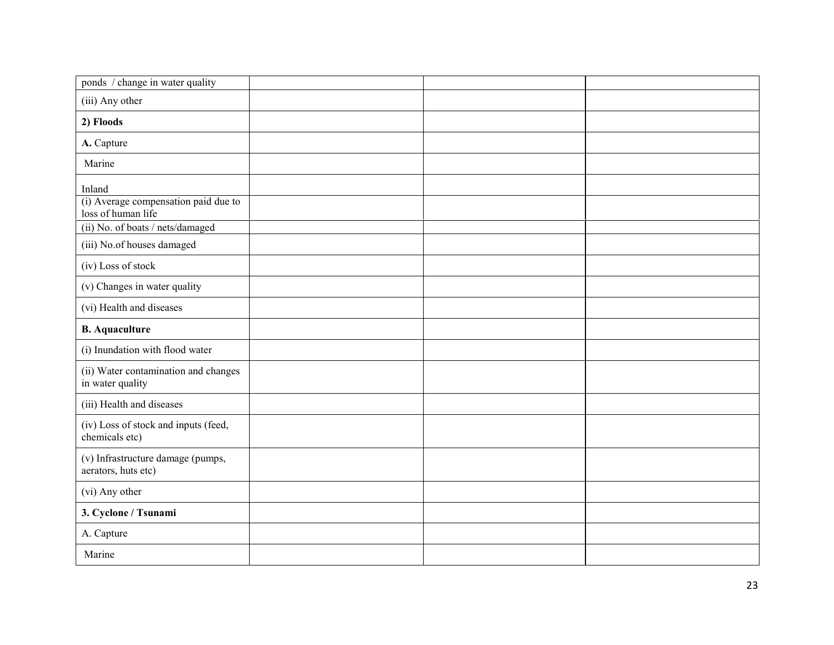| ponds / change in water quality                            |  |  |
|------------------------------------------------------------|--|--|
| (iii) Any other                                            |  |  |
| 2) Floods                                                  |  |  |
| A. Capture                                                 |  |  |
| Marine                                                     |  |  |
| Inland                                                     |  |  |
| (i) Average compensation paid due to<br>loss of human life |  |  |
| (ii) No. of boats / nets/damaged                           |  |  |
| (iii) No.of houses damaged                                 |  |  |
| (iv) Loss of stock                                         |  |  |
| (v) Changes in water quality                               |  |  |
| (vi) Health and diseases                                   |  |  |
| <b>B.</b> Aquaculture                                      |  |  |
| (i) Inundation with flood water                            |  |  |
| (ii) Water contamination and changes<br>in water quality   |  |  |
| (iii) Health and diseases                                  |  |  |
| (iv) Loss of stock and inputs (feed,<br>chemicals etc)     |  |  |
| (v) Infrastructure damage (pumps,<br>aerators, huts etc)   |  |  |
| (vi) Any other                                             |  |  |
| 3. Cyclone / Tsunami                                       |  |  |
| A. Capture                                                 |  |  |
| Marine                                                     |  |  |